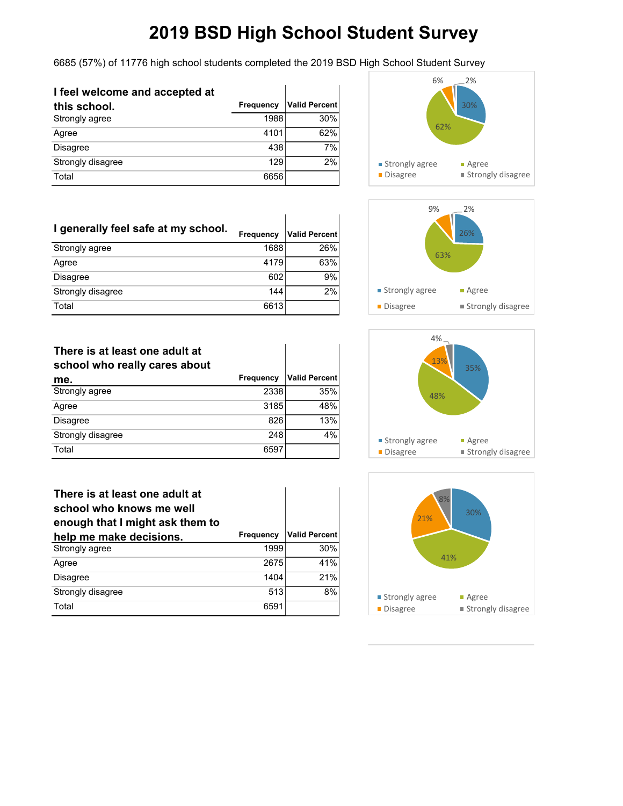6685 (57%) of 11776 high school students completed the 2019 BSD High School Student Survey

| I feel welcome and accepted at |           |                      |
|--------------------------------|-----------|----------------------|
| this school.                   | Frequency | <b>Valid Percent</b> |
| Strongly agree                 | 1988      | 30%                  |
| Agree                          | 4101      | 62%                  |
| <b>Disagree</b>                | 438       | 7%                   |
| Strongly disagree              | 129       | 2%                   |
| Total                          | 6656      |                      |

| I generally feel safe at my school. | Frequency | <b>Valid Percent</b> |
|-------------------------------------|-----------|----------------------|
| Strongly agree                      | 1688      | 26%                  |
| Agree                               | 4179      | 63%                  |
| Disagree                            | 602       | 9%                   |
| Strongly disagree                   | 144       | 2%                   |
| Total                               | 6613      |                      |

### **There is at least one adult at**

| school who really cares about |                  |                      |
|-------------------------------|------------------|----------------------|
| me.                           | <b>Frequency</b> | <b>Valid Percent</b> |
| Strongly agree                | 2338             | 35%                  |
| Agree                         | 3185             | 48%                  |
| <b>Disagree</b>               | 826              | 13%                  |
| Strongly disagree             | 248              | 4%                   |
| Total                         | 6597             |                      |

| There is at least one adult at<br>school who knows me well<br>enough that I might ask them to |           |                      |
|-----------------------------------------------------------------------------------------------|-----------|----------------------|
| help me make decisions.                                                                       | Frequency | <b>Valid Percent</b> |
| Strongly agree                                                                                | 1999      | 30%                  |
| Agree                                                                                         | 2675      | 41%                  |
| <b>Disagree</b>                                                                               | 1404      | 21%                  |
| Strongly disagree                                                                             | 513       | 8%                   |
| Total                                                                                         | 6591      |                      |







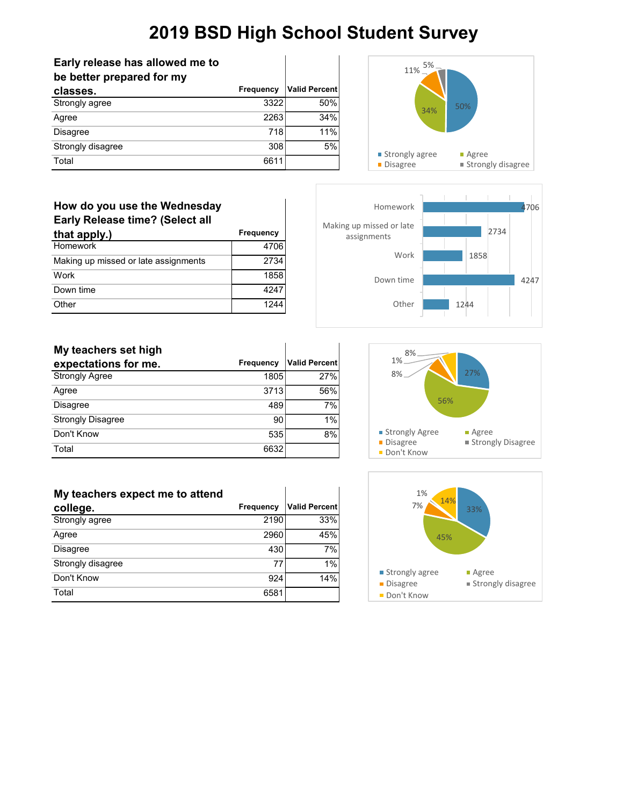| Early release has allowed me to<br>be better prepared for my |           |                      |
|--------------------------------------------------------------|-----------|----------------------|
| classes.                                                     | Frequency | <b>Valid Percent</b> |
| Strongly agree                                               | 3322      | 50%                  |
| Agree                                                        | 2263      | 34%                  |
| <b>Disagree</b>                                              | 718       | 11%                  |
| Strongly disagree                                            | 308       | 5%                   |
| Total                                                        | 6611      |                      |









### **How do you use the Wednesday Early Release time? (Select all**

| that apply.)                         | Frequency |
|--------------------------------------|-----------|
| <b>Homework</b>                      | 4706      |
| Making up missed or late assignments | 2734      |
| Work                                 | 1858      |
| Down time                            | 4247      |
| Other                                | 1244      |

| My teachers set high     |           |                      |
|--------------------------|-----------|----------------------|
| expectations for me.     | Frequency | <b>Valid Percent</b> |
| <b>Strongly Agree</b>    | 1805      | 27%                  |
| Agree                    | 3713      | 56%                  |
| <b>Disagree</b>          | 489       | 7%                   |
| <b>Strongly Disagree</b> | 90        | 1%                   |
| Don't Know               | 535       | 8%                   |
| Total                    | 6632      |                      |

| My teachers expect me to attend |                  |                      |
|---------------------------------|------------------|----------------------|
| college.                        | <b>Frequency</b> | <b>Valid Percent</b> |
| Strongly agree                  | 2190             | 33%                  |
| Agree                           | 2960             | 45%                  |
| <b>Disagree</b>                 | 430              | 7%                   |
| Strongly disagree               | 77               | 1%                   |
| Don't Know                      | 924              | 14%                  |
| Total                           | 6581             |                      |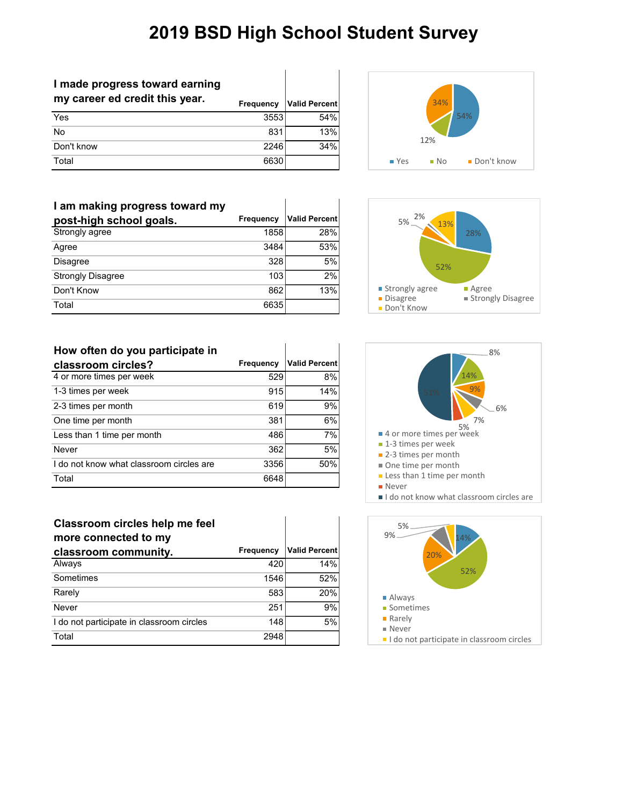#### **I made progress toward earning my career ed credit this year. Frequency Valid Percent**

**I am making progress toward my** 

| my career ed credit this year. | Frequency   | Valid Percent |
|--------------------------------|-------------|---------------|
| Yes                            | 35531       | 54%           |
| No                             | 831         | 13%           |
| Don't know                     | <b>2246</b> | 34%           |
| Total                          | 6630        |               |

**post-high school goals. Frequency Valid Percent** Strongly agree 1858 28% Agree 3484 53% Disagree 328 5% Strongly Disagree 2% Don't Know 862 13%







Total 6635

| classroom circles?                       | Frequency | <b>Valid Percent</b> |
|------------------------------------------|-----------|----------------------|
| 4 or more times per week                 | 529       | 8%                   |
| 1-3 times per week                       | 915       | 14%                  |
| 2-3 times per month                      | 619       | 9%                   |
| One time per month                       | 381       | 6%                   |
| Less than 1 time per month               | 486       | 7%                   |
| Never                                    | 362       | 5%                   |
| I do not know what classroom circles are | 3356      | 50%                  |
| Total                                    | 6648      |                      |

#### **Classroom circles help me feel more connected to my**

| classroom community.                      | <b>Frequency</b> | <b>Valid Percent</b> |
|-------------------------------------------|------------------|----------------------|
| Always                                    | 420              | 14%                  |
| Sometimes                                 | 1546             | 52%                  |
| Rarely                                    | 583              | 20%                  |
| Never                                     | 251              | 9%                   |
| I do not participate in classroom circles | 148              | 5%                   |
| Total                                     | 2948             |                      |



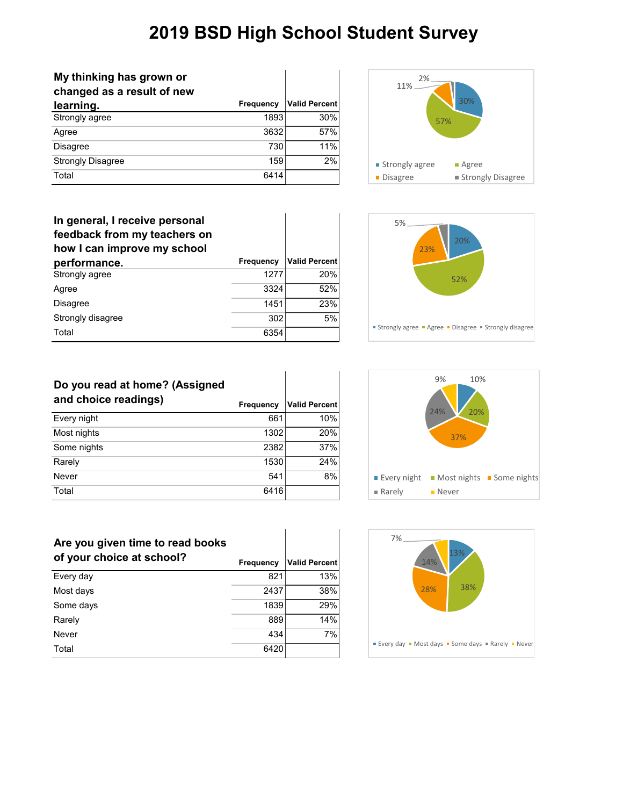| My thinking has grown or<br>changed as a result of new |                  |                      |
|--------------------------------------------------------|------------------|----------------------|
| learning.                                              | <b>Frequency</b> | <b>Valid Percent</b> |
| Strongly agree                                         | 1893             | 30%                  |
| Agree                                                  | 3632             | 57%                  |
| <b>Disagree</b>                                        | 730              | 11%                  |
| <b>Strongly Disagree</b>                               | 159              | 2%                   |
| Total                                                  | 6414             |                      |



| In general, I receive personal<br>feedback from my teachers on<br>how I can improve my school |                  |                      |
|-----------------------------------------------------------------------------------------------|------------------|----------------------|
| performance.                                                                                  | <b>Frequency</b> | <b>Valid Percent</b> |
| Strongly agree                                                                                | 1277             | 20%                  |
| Agree                                                                                         | 3324             | 52%                  |
| Disagree                                                                                      | 1451             | 23%                  |
| Strongly disagree                                                                             | 302              | 5%                   |
| Total                                                                                         | 6354             |                      |



| Do you read at home? (Assigned |           |               |
|--------------------------------|-----------|---------------|
| and choice readings)           | Frequency | Valid Percent |
| Every night                    | 661       | 10%           |
| Most nights                    | 1302      | 20%           |
| Some nights                    | 2382      | 37%           |
| Rarely                         | 1530      | 24%           |
| <b>Never</b>                   | 541       | 8%            |
| Total                          | 6416      |               |



### **Are you given time to read books of your choice at school? Frequency**  $\begin{bmatrix} \mathsf{V} \mathsf{A} \end{bmatrix}$

|           | <b>Lieduelicy</b> | Valiu Felcelii |
|-----------|-------------------|----------------|
| Every day | 821               | 13%            |
| Most days | 2437              | 38%            |
| Some days | 1839              | 29%            |
| Rarely    | 889               | 14%            |
| Never     | 434               | 7%             |
| Total     | 6420              |                |
|           |                   |                |

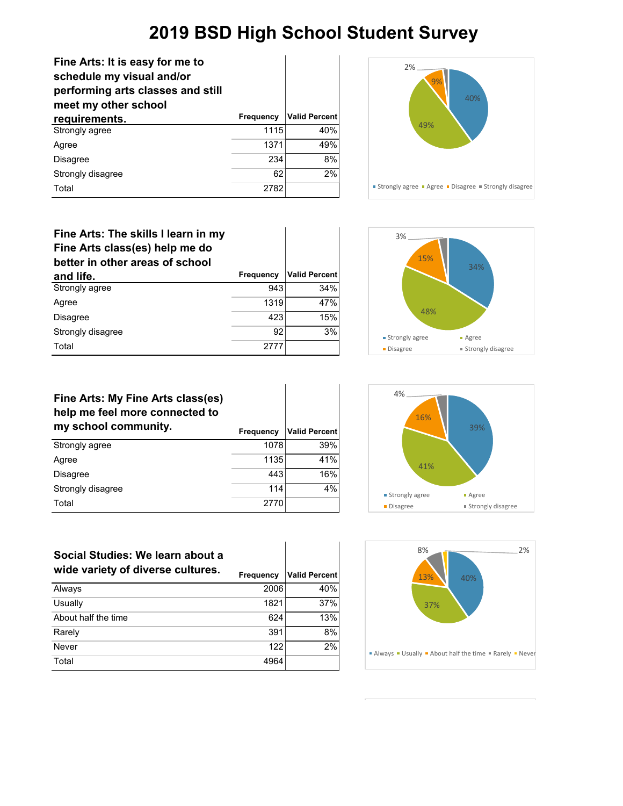| Fine Arts: It is easy for me to<br>schedule my visual and/or<br>performing arts classes and still<br>meet my other school |                  |                      |
|---------------------------------------------------------------------------------------------------------------------------|------------------|----------------------|
| requirements.                                                                                                             | <b>Frequency</b> | <b>Valid Percent</b> |
| Strongly agree                                                                                                            | 1115             | 40%                  |
| Agree                                                                                                                     | 1371             | 49%                  |
| <b>Disagree</b>                                                                                                           | 234              | 8%                   |
| Strongly disagree                                                                                                         | 62               | 2%                   |
| Total                                                                                                                     | 2782             |                      |



| Fine Arts: The skills I learn in my<br>Fine Arts class(es) help me do<br>better in other areas of school |           |                      |
|----------------------------------------------------------------------------------------------------------|-----------|----------------------|
| and life.                                                                                                | Frequency | <b>Valid Percent</b> |
| Strongly agree                                                                                           | 943       | 34%                  |
| Agree                                                                                                    | 1319      | 47%                  |
| <b>Disagree</b>                                                                                          | 423       | 15%                  |
| Strongly disagree                                                                                        | 92        | 3%                   |
| Total                                                                                                    | 2777      |                      |



| Fine Arts: My Fine Arts class(es)<br>help me feel more connected to<br>my school community. | <b>Frequency</b> | <b>Valid Percent</b> |
|---------------------------------------------------------------------------------------------|------------------|----------------------|
| Strongly agree                                                                              | 1078             | 39%                  |
| Agree                                                                                       | 1135             | 41%                  |
| Disagree                                                                                    | 443              | 16%                  |
| Strongly disagree                                                                           | 114              | 4%                   |
| Total                                                                                       | 2770             |                      |



# 40% 37% 13% 8% 2% Always Usually About half the time Rarely Never

#### **Social Studies: We learn about a wide variety of diverse cultures. Frequency Valid Percent**

| wide vallety of diverse cultures. | Frequency | <b>Valid Percent</b> |
|-----------------------------------|-----------|----------------------|
| Always                            | 2006      | 40%                  |
| Usually                           | 1821      | 37%                  |
| About half the time               | 624       | 13%                  |
| Rarely                            | 391       | 8%                   |
| <b>Never</b>                      | 122       | 2%                   |
| Total                             | 4964      |                      |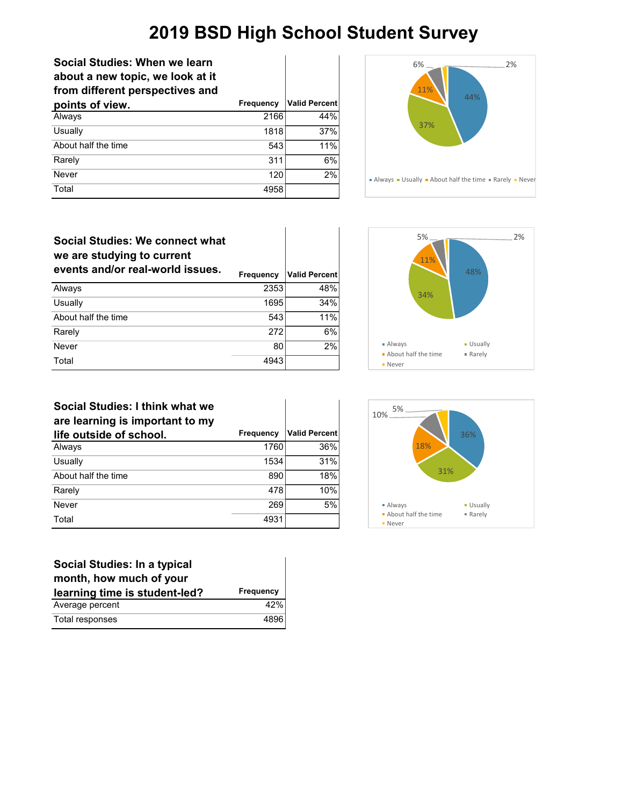| Social Studies: When we learn<br>about a new topic, we look at it<br>from different perspectives and |           |                      |
|------------------------------------------------------------------------------------------------------|-----------|----------------------|
| points of view.                                                                                      | Frequency | <b>Valid Percent</b> |
| Always                                                                                               | 2166      | 44%                  |
| Usually                                                                                              | 1818      | 37%                  |
| About half the time                                                                                  | 543       | 11%                  |
| Rarely                                                                                               | 311       | 6%                   |
| Never                                                                                                | 120       | 2%                   |
| Total                                                                                                | 4958      |                      |



| Social Studies: We connect what<br>we are studying to current<br>events and/or real-world issues. | Frequency | <b>Valid Percent</b> |
|---------------------------------------------------------------------------------------------------|-----------|----------------------|
| Always                                                                                            | 2353      | 48%                  |
| Usually                                                                                           | 1695      | 34%                  |
| About half the time                                                                               | 543       | 11%                  |
| Rarely                                                                                            | 272       | 6%                   |
| Never                                                                                             | 80        | 2%                   |
| Total                                                                                             | 4943      |                      |



#### **Social Studies: I think what we are learning is important to my**

| are rearning is important to my |           |                      |
|---------------------------------|-----------|----------------------|
| life outside of school.         | Frequency | <b>Valid Percent</b> |
| Always                          | 1760      | 36%                  |
| Usually                         | 1534      | 31%                  |
| About half the time             | 890       | 18%                  |
| Rarely                          | 478       | 10%                  |
| Never                           | 269       | 5%                   |
| Total                           | 4931      |                      |
|                                 |           |                      |

| Social Studies: In a typical<br>month, how much of your |           |
|---------------------------------------------------------|-----------|
| learning time is student-led?                           | Frequency |
| Average percent                                         | 42%       |
| Total responses                                         | 4896      |

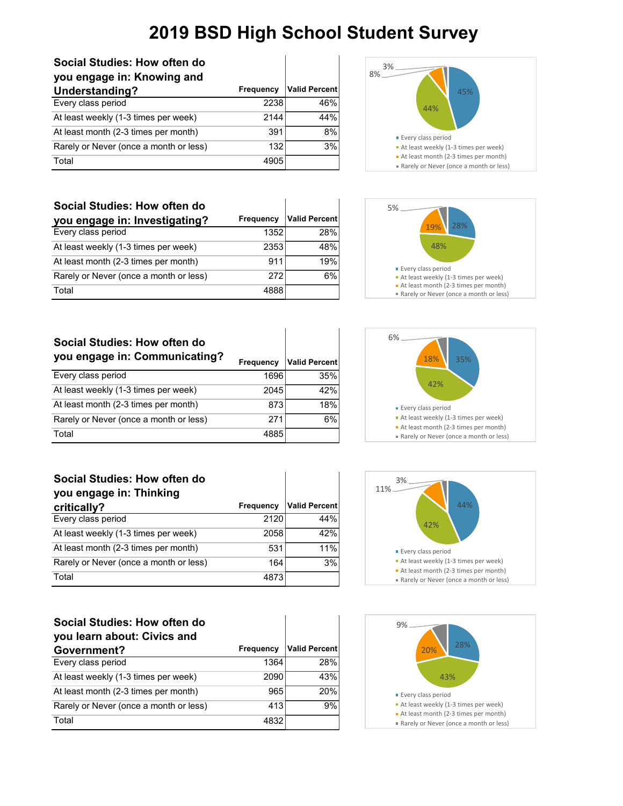| Social Studies: How often do<br>you engage in: Knowing and |           |                      |
|------------------------------------------------------------|-----------|----------------------|
| Understanding?                                             | Frequency | <b>Valid Percent</b> |
| Every class period                                         | 2238      | 46%                  |
| At least weekly (1-3 times per week)                       | 2144      | 44%                  |
| At least month (2-3 times per month)                       | 391       | 8%                   |
| Rarely or Never (once a month or less)                     | 132       | 3%                   |
| Total                                                      | 4905      |                      |

**you engage in: Investigating? Frequency Valid Percent** Every class period and the contract of the 1352 28% At least weekly (1-3 times per week) 2353 48% At least month (2-3 times per month) 911 99% Rarely or Never (once a month or less) 272 6%

Total 4888





| Social Studies: How often do<br>you engage in: Communicating? | Frequency | <b>Valid Percent</b> |
|---------------------------------------------------------------|-----------|----------------------|
| Every class period                                            | 1696      | 35%                  |
| At least weekly (1-3 times per week)                          | 2045      | 42%                  |
| At least month (2-3 times per month)                          | 873       | 18%                  |
| Rarely or Never (once a month or less)                        | 271       | 6%                   |
| Total                                                         | 4885      |                      |



| Valid Percent∣ | 3%<br>11%<br>44%                       |
|----------------|----------------------------------------|
| 44%            | 42%                                    |
| 42%            |                                        |
| 11%            | <b>Every class period</b>              |
| 3%             | At least weekly (1-3 times per week)   |
|                | At least month (2-3 times per month)   |
|                | Rarely or Never (once a month or less) |
|                |                                        |



### **Social Studies: How often do you engage in: Thinking Critically? Frequency Prequency** Every class period 2120

**Social Studies: How often do** 

| At least weekly (1-3 times per week)   | 2058  | 42% |
|----------------------------------------|-------|-----|
| At least month (2-3 times per month)   | 531   | 11% |
| Rarely or Never (once a month or less) | 164 l | 3%  |
| Total                                  | 48731 |     |

| Social Studies: How often do<br>you learn about: Civics and |                  |                      |
|-------------------------------------------------------------|------------------|----------------------|
| Government?                                                 | <b>Frequency</b> | <b>Valid Percent</b> |
| Every class period                                          | 1364             | 28%                  |
| At least weekly (1-3 times per week)                        | 2090             | 43%                  |
| At least month (2-3 times per month)                        | 965              | 20%                  |
| Rarely or Never (once a month or less)                      | 413              | 9%                   |
| Total                                                       | 4832             |                      |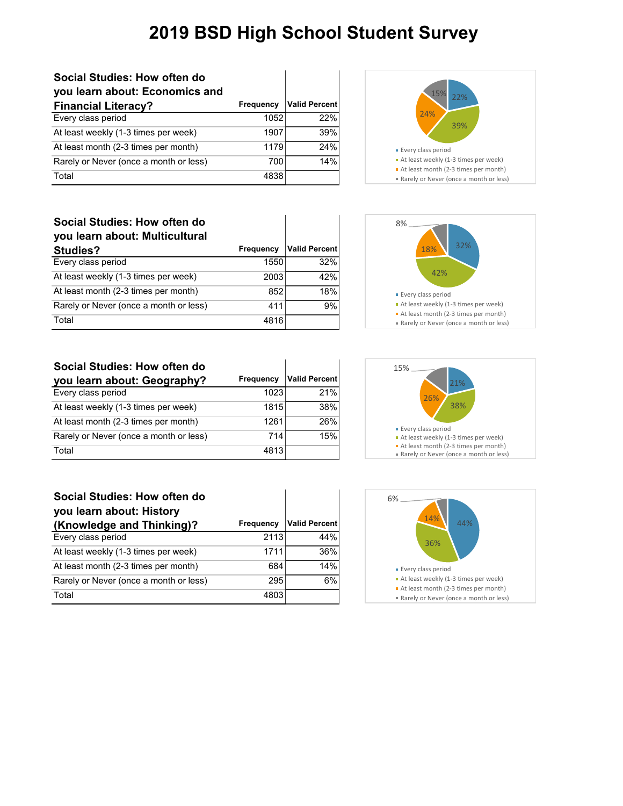### **Social Studies: How often do you learn about: E Financial Literad** Every class period At least weekly (1-3 times

| you learn about: Economics and         |           |                      |
|----------------------------------------|-----------|----------------------|
| <b>Financial Literacy?</b>             | Frequency | <b>Valid Percent</b> |
| Every class period                     | 1052      | 22%                  |
| At least weekly (1-3 times per week)   | 1907      | 39%                  |
| At least month (2-3 times per month)   | 1179      | 24%                  |
| Rarely or Never (once a month or less) | 700       | 14%                  |
| Total                                  | 4838      |                      |



| Social Studies: How often do<br>you learn about: Multicultural<br><b>Studies?</b> | Frequency | <b>Valid Percent</b> |
|-----------------------------------------------------------------------------------|-----------|----------------------|
| Every class period                                                                | 1550      | 32%                  |
| At least weekly (1-3 times per week)                                              | 2003      | 42%                  |
| At least month (2-3 times per month)                                              | 852       | 18%                  |
| Rarely or Never (once a month or less)                                            | 411       | 9%                   |
| Total                                                                             | 4816      |                      |

| Social Studies: How often do           |           |                      |
|----------------------------------------|-----------|----------------------|
| you learn about: Geography?            | Frequency | <b>Valid Percent</b> |
| Every class period                     | 1023      | 21%                  |
| At least weekly (1-3 times per week)   | 1815      | 38%                  |
| At least month (2-3 times per month)   | 1261      | 26%                  |
| Rarely or Never (once a month or less) | 714       | 15%                  |
| Total                                  | 4813      |                      |

| Social Studies: How often do<br>you learn about: History |           |                      |
|----------------------------------------------------------|-----------|----------------------|
| (Knowledge and Thinking)?                                | Frequency | <b>Valid Percent</b> |
| Every class period                                       | 2113      | 44%                  |
| At least weekly (1-3 times per week)                     | 1711      | 36%                  |
| At least month (2-3 times per month)                     | 684       | 14%                  |
| Rarely or Never (once a month or less)                   | 295       | 6%                   |
| Total                                                    | 4803      |                      |





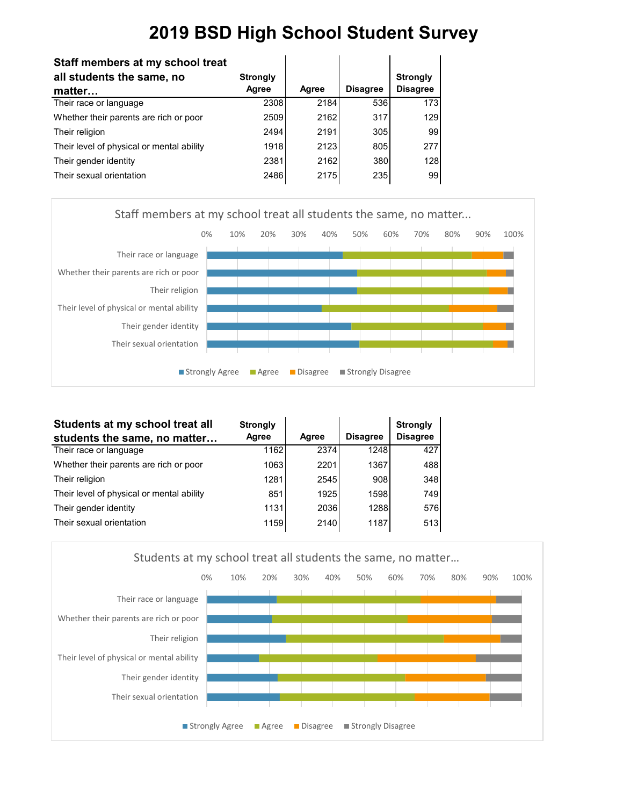| Staff members at my school treat          |                 |       |                 |                  |
|-------------------------------------------|-----------------|-------|-----------------|------------------|
| all students the same, no                 | <b>Strongly</b> |       |                 | <b>Strongly</b>  |
| matter                                    | Agree           | Agree | <b>Disagree</b> | <b>Disagree</b>  |
| Their race or language                    | 2308            | 2184  | 536             | 173 <sub>l</sub> |
| Whether their parents are rich or poor    | 2509            | 2162  | 317             | 129              |
| Their religion                            | 2494            | 2191  | 305             | 99               |
| Their level of physical or mental ability | 1918            | 2123  | 805             | 277              |
| Their gender identity                     | 2381            | 2162  | 380             | 128              |
| Their sexual orientation                  | 2486            | 2175  | 235             | 99               |



| Students at my school treat all           | <b>Strongly</b> |       |                 | <b>Strongly</b> |
|-------------------------------------------|-----------------|-------|-----------------|-----------------|
| students the same, no matter              | Agree           | Agree | <b>Disagree</b> | <b>Disagree</b> |
| Their race or language                    | 1162            | 2374  | 1248            | 427             |
| Whether their parents are rich or poor    | 1063            | 2201  | 1367            | 488             |
| Their religion                            | 1281            | 2545  | 908             | 348             |
| Their level of physical or mental ability | 851             | 1925  | 1598            | 749             |
| Their gender identity                     | 1131            | 2036  | 1288            | 576             |
| Their sexual orientation                  | 1159            | 2140  | 1187            | 513             |

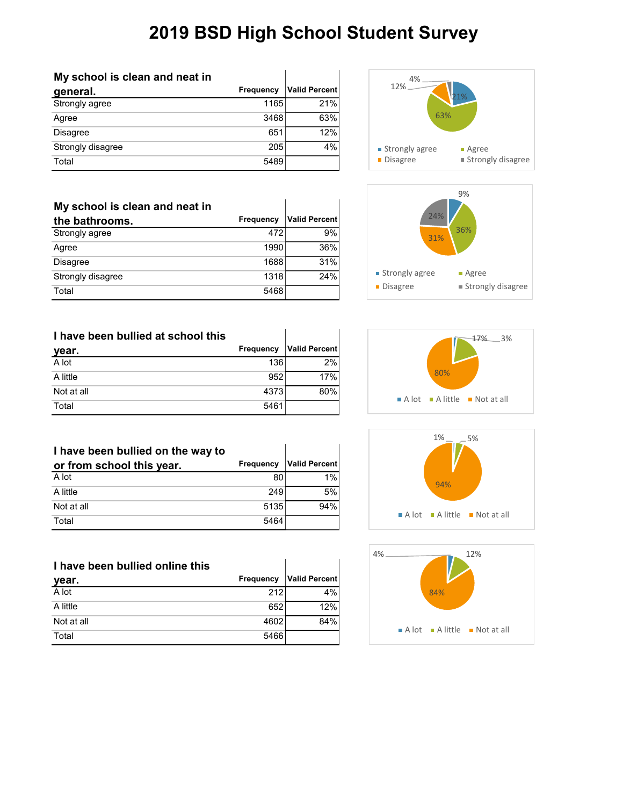l.

 $\mathbf{r}$ 

| My school is clean and neat in |           |                      |
|--------------------------------|-----------|----------------------|
| general.                       | Frequency | <b>Valid Percent</b> |
| Strongly agree                 | 1165      | 21%                  |
| Agree                          | 3468      | 63%                  |
| <b>Disagree</b>                | 651       | 12%                  |
| Strongly disagree              | 205       | 4%                   |
| Total                          | 5489      |                      |

| My school is clean and neat in |                  |                      |
|--------------------------------|------------------|----------------------|
| the bathrooms.                 | <b>Frequency</b> | <b>Valid Percent</b> |
| Strongly agree                 | 472              | 9%                   |
| Agree                          | 1990             | 36%                  |
| <b>Disagree</b>                | 1688             | 31%                  |
| Strongly disagree              | 1318             | 24%                  |
| Total                          | 5468             |                      |

| I have been bullied at school this |           |               |
|------------------------------------|-----------|---------------|
| year.                              | Frequency | Valid Percent |
| A lot                              | 136       | 2%            |
| A little                           | 952       | 17%           |
| Not at all                         | 43731     | 80%           |
| Total                              | 5461      |               |

| I have been bullied on the way to |           |                      |
|-----------------------------------|-----------|----------------------|
| or from school this year.         | Frequency | <b>Valid Percent</b> |
| A lot                             | 80        | 1%                   |
| A little                          | 249       | 5%                   |
| Not at all                        | 5135      | 94%                  |
| Total                             | 5464      |                      |

| I have been bullied online this |           |               |
|---------------------------------|-----------|---------------|
| year.                           | Frequency | Valid Percent |
| A lot                           | 212       | 4%            |
| A little                        | 652       | 12%           |
| Not at all                      | 4602      | 84%           |
| Total                           | 5466      |               |









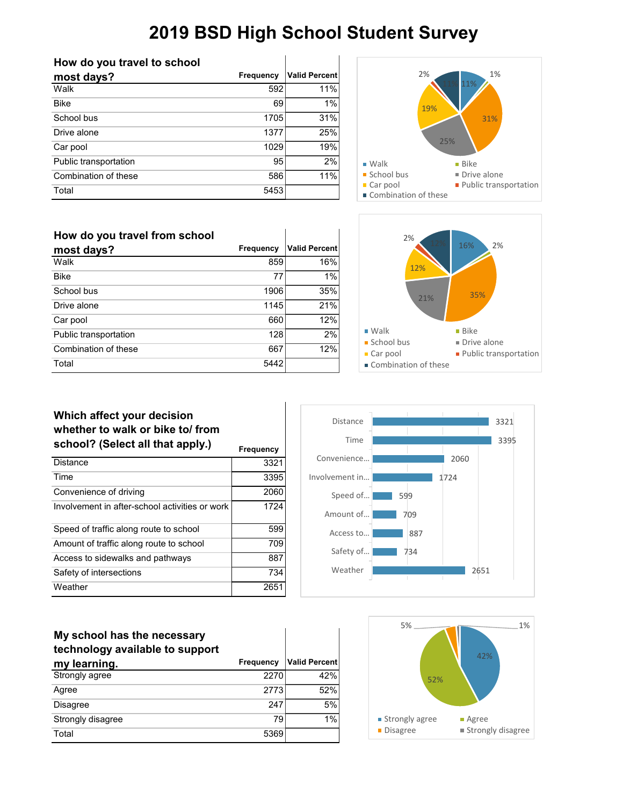| How do you travel to school |           |                      |
|-----------------------------|-----------|----------------------|
| most days?                  | Frequency | <b>Valid Percent</b> |
| Walk                        | 592       | 11%                  |
| <b>Bike</b>                 | 69        | $1\%$                |
| School bus                  | 1705      | 31%                  |
| Drive alone                 | 1377      | 25%                  |
| Car pool                    | 1029      | 19%                  |
| Public transportation       | 95        | 2%                   |
| Combination of these        | 586       | 11%                  |
| Total                       | 5453      |                      |



| How do you travel from school |           |                      |
|-------------------------------|-----------|----------------------|
| most days?                    | Frequency | <b>Valid Percent</b> |
| Walk                          | 859       | 16%                  |
| <b>Bike</b>                   | 77        | 1%                   |
| School bus                    | 1906      | 35%                  |
| Drive alone                   | 1145      | 21%                  |
| Car pool                      | 660       | 12%                  |
| Public transportation         | 128       | 2%                   |
| Combination of these          | 667       | 12%                  |
| Total                         | 5442      |                      |



### **Which affect your decision whether to walk or bike to/ from school? (Select all that apply.) Figulary Frequency**

|                                                | .    |
|------------------------------------------------|------|
| <b>Distance</b>                                | 3321 |
| Time                                           | 3395 |
| Convenience of driving                         | 2060 |
| Involvement in after-school activities or work | 1724 |
| Speed of traffic along route to school         | 599  |
| Amount of traffic along route to school        | 709  |
| Access to sidewalks and pathways               | 887  |
| Safety of intersections                        | 734  |
| Weather                                        | 2651 |



| My school has the necessary<br>technology available to support |                  |                      |
|----------------------------------------------------------------|------------------|----------------------|
| my learning.                                                   | <b>Frequency</b> | <b>Valid Percent</b> |
| Strongly agree                                                 | 2270             | 42%                  |
| Agree                                                          | 2773             | 52%                  |
| <b>Disagree</b>                                                | 247              | 5%                   |
| Strongly disagree                                              | 79               | 1%                   |
| Total                                                          | 5369             |                      |

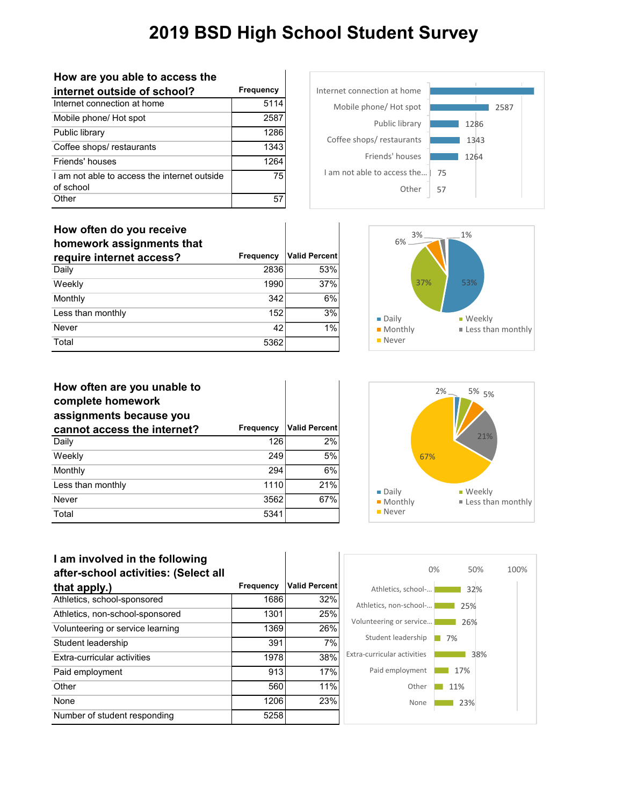| How are you able to access the<br>internet outside of school? | Frequency |
|---------------------------------------------------------------|-----------|
| Internet connection at home                                   | 5114      |
| Mobile phone/ Hot spot                                        | 2587      |
| Public library                                                | 1286      |
| Coffee shops/restaurants                                      | 1343      |
| Friends' houses                                               | 1264      |
| I am not able to access the internet outside<br>of school     | 75        |
| Other                                                         |           |



| How often do you receive<br>homework assignments that |           |                      | $3\%$ $-$<br>6%      | 1%                    |
|-------------------------------------------------------|-----------|----------------------|----------------------|-----------------------|
| require internet access?                              | Frequency | <b>Valid Percent</b> |                      |                       |
| Daily                                                 | 2836      | 53%                  |                      |                       |
| Weekly                                                | 1990      | 37%                  | 37%                  | 53%                   |
| Monthly                                               | 342       | 6%                   |                      |                       |
| Less than monthly                                     | 152       | 3%                   | $\blacksquare$ Daily | ■ Week                |
| Never                                                 | 42        | 1%                   | ■ Monthly            | $\blacksquare$ Less t |
| Total                                                 | 5362      |                      | ■ Never              |                       |



| How often are you unable to<br>complete homework<br>assignments because you |                  |                      |
|-----------------------------------------------------------------------------|------------------|----------------------|
| cannot access the internet?                                                 | <b>Frequency</b> | <b>Valid Percent</b> |
| Daily                                                                       | 126              | 2%                   |
| Weekly                                                                      | 249              | 5%                   |
| Monthly                                                                     | 294              | 6%                   |
| Less than monthly                                                           | 1110             | 21%                  |
| Never                                                                       | 3562             | 67%                  |
| Total                                                                       | 5341             |                      |



### **I am involved in the following after-school activities: (Select all**

| alter-scribol activities: (Select all |                  |                      |
|---------------------------------------|------------------|----------------------|
| that apply.)                          | <b>Frequency</b> | <b>Valid Percent</b> |
| Athletics, school-sponsored           | 1686             | 32%                  |
| Athletics, non-school-sponsored       | 1301             | 25%                  |
| Volunteering or service learning      | 1369             | 26%                  |
| Student leadership                    | 391              | 7%                   |
| Extra-curricular activities           | 1978             | 38%                  |
| Paid employment                       | 913              | 17%                  |
| Other                                 | 560              | 11%                  |
| None                                  | 1206             | 23%                  |
| Number of student responding          | 5258             |                      |

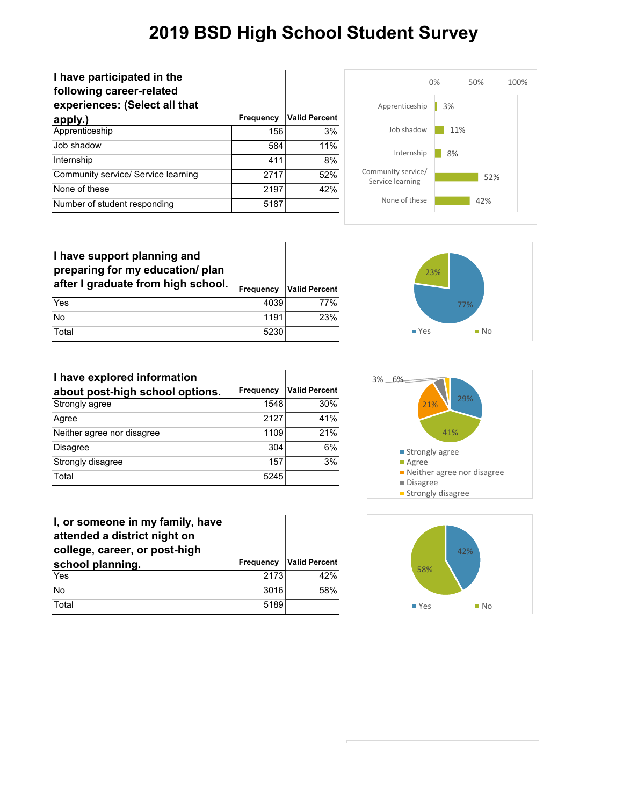| I have participated in the<br>following career-related<br>experiences: (Select all that |                  |                      |
|-----------------------------------------------------------------------------------------|------------------|----------------------|
| apply.)                                                                                 | <b>Frequency</b> | <b>Valid Percent</b> |
| Apprenticeship                                                                          | 156              | 3%                   |
| Job shadow                                                                              | 584              | 11%                  |
| Internship                                                                              | 411              | 8%                   |
| Community service/ Service learning                                                     | 2717             | 52%                  |
| None of these                                                                           | 2197             | 42%                  |
| Number of student responding                                                            | 5187             |                      |



### **I have support planning and preparing for my education/ plan after I graduate from high school. Frequency Valid Percent** Yes 4039 77% No 1191 23% Total 5230



| I have explored information     |           |                      |
|---------------------------------|-----------|----------------------|
| about post-high school options. | Frequency | <b>Valid Percent</b> |
| Strongly agree                  | 1548      | 30%                  |
| Agree                           | 2127      | 41%                  |
| Neither agree nor disagree      | 1109      | 21%                  |
| <b>Disagree</b>                 | 304       | 6%                   |
| Strongly disagree               | 157       | 3%                   |
| Total                           | 5245      |                      |

| I, or someone in my family, have<br>attended a district night on<br>college, career, or post-high |           |                      |
|---------------------------------------------------------------------------------------------------|-----------|----------------------|
| school planning.                                                                                  | Frequency | <b>Valid Percent</b> |
| Yes                                                                                               | 2173      | 42%                  |
| No                                                                                                | 3016      | 58%                  |
| Total                                                                                             | 5189      |                      |